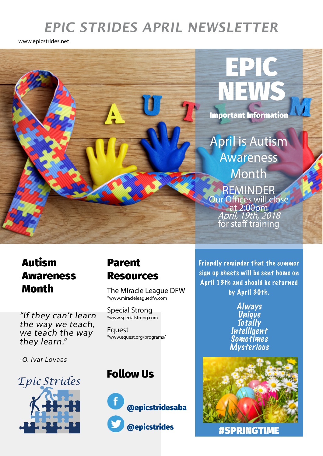# **EPIC STRIDES APRIL NEWSLETTER**

www.epicstrides.net



# Autism Awareness

"If they can't learn the way we teach, we teach the way they learn."

-O. Ivar Lovaas



### Parent Resources

**Month** The Miracle League DFW \*www.miracleleaguedfw.com

> Special Strong \*www.specialstrong.com

**Equest** \*www.equest.org/programs/

### Follow Us



Friendly reminder that the summer sign up sheets will be sent home on April 13th and should be returned by April 30th.

> Always **Unique Totally Intelligent** Sometimes **Mysterious**



#SPRINGTIME